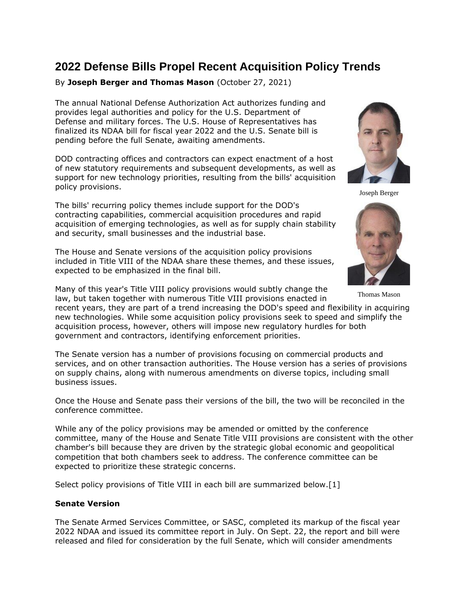# **2022 Defense Bills Propel Recent Acquisition Policy Trends**

## By **Joseph Berger and Thomas Mason** (October 27, 2021)

The annual National Defense Authorization Act authorizes funding and provides legal authorities and policy for the [U.S. Department of](https://www.law360.com/agencies/u-s-department-of-defense)  [Defense](https://www.law360.com/agencies/u-s-department-of-defense) and military forces. The [U.S. House of Representatives](https://www.law360.com/agencies/u-s-house-of-representatives) has finalized its NDAA bill for fiscal year 2022 and the [U.S. Senate](https://www.law360.com/agencies/u-s-senate) bill is pending before the full Senate, awaiting amendments.

DOD contracting offices and contractors can expect enactment of a host of new statutory requirements and subsequent developments, as well as support for new technology priorities, resulting from the bills' acquisition policy provisions.

The bills' recurring policy themes include support for the DOD's contracting capabilities, commercial acquisition procedures and rapid acquisition of emerging technologies, as well as for supply chain stability and security, small businesses and the industrial base.

The House and Senate versions of the acquisition policy provisions included in Title VIII of the NDAA share these themes, and these issues, expected to be emphasized in the final bill.

Many of this year's Title VIII policy provisions would subtly change the law, but taken together with numerous Title VIII provisions enacted in

recent years, they are part of a trend increasing the DOD's speed and flexibility in acquiring new technologies. While some acquisition policy provisions seek to speed and simplify the acquisition process, however, others will impose new regulatory hurdles for both government and contractors, identifying enforcement priorities.

The Senate version has a number of provisions focusing on commercial products and services, and on other transaction authorities. The House version has a series of provisions on supply chains, along with numerous amendments on diverse topics, including small business issues.

Once the House and Senate pass their versions of the bill, the two will be reconciled in the conference committee.

While any of the policy provisions may be amended or omitted by the conference committee, many of the House and Senate Title VIII provisions are consistent with the other chamber's bill because they are driven by the strategic global economic and geopolitical competition that both chambers seek to address. The conference committee can be expected to prioritize these strategic concerns.

Select policy provisions of Title VIII in each bill are summarized below.[1]

## **Senate Version**

The Senate Armed Services Committee, or SASC, completed its markup of the fiscal year 2022 NDAA and issued its committee report in July. On Sept. 22, the report and bill were released and filed for consideration by the full Senate, which will consider amendments



Joseph Berger



Thomas Mason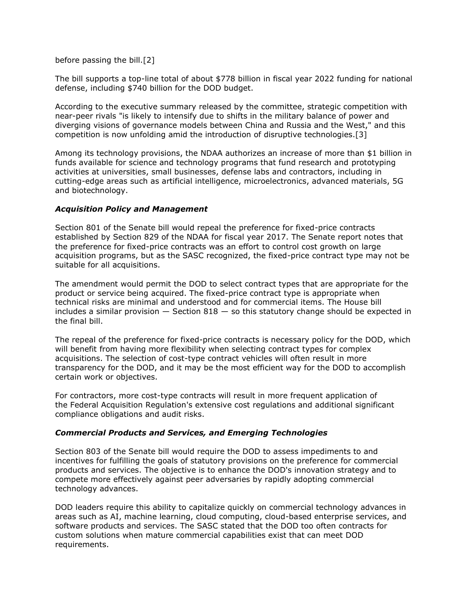before passing the bill.[2]

The bill supports a top-line total of about \$778 billion in fiscal year 2022 funding for national defense, including \$740 billion for the DOD budget.

According to the executive summary released by the committee, strategic competition with near-peer rivals "is likely to intensify due to shifts in the military balance of power and diverging visions of governance models between China and Russia and the West," and this competition is now unfolding amid the introduction of disruptive technologies.[3]

Among its technology provisions, the NDAA authorizes an increase of more than \$1 billion in funds available for science and technology programs that fund research and prototyping activities at universities, small businesses, defense labs and contractors, including in cutting-edge areas such as artificial intelligence, microelectronics, advanced materials, 5G and biotechnology.

## *Acquisition Policy and Management*

Section 801 of the Senate bill would repeal the preference for fixed-price contracts established by Section 829 of the NDAA for fiscal year 2017. The Senate report notes that the preference for fixed-price contracts was an effort to control cost growth on large acquisition programs, but as the SASC recognized, the fixed-price contract type may not be suitable for all acquisitions.

The amendment would permit the DOD to select contract types that are appropriate for the product or service being acquired. The fixed-price contract type is appropriate when technical risks are minimal and understood and for commercial items. The House bill includes a similar provision  $-$  Section 818  $-$  so this statutory change should be expected in the final bill.

The repeal of the preference for fixed-price contracts is necessary policy for the DOD, which will benefit from having more flexibility when selecting contract types for complex acquisitions. The selection of cost-type contract vehicles will often result in more transparency for the DOD, and it may be the most efficient way for the DOD to accomplish certain work or objectives.

For contractors, more cost-type contracts will result in more frequent application of the [Federal Acquisition Regulation'](https://www.law360.com/agencies/federal-acquisition-regulatory-council)s extensive cost regulations and additional significant compliance obligations and audit risks.

## *Commercial Products and Services, and Emerging Technologies*

Section 803 of the Senate bill would require the DOD to assess impediments to and incentives for fulfilling the goals of statutory provisions on the preference for commercial products and services. The objective is to enhance the DOD's innovation strategy and to compete more effectively against peer adversaries by rapidly adopting commercial technology advances.

DOD leaders require this ability to capitalize quickly on commercial technology advances in areas such as AI, machine learning, cloud computing, cloud-based enterprise services, and software products and services. The SASC stated that the DOD too often contracts for custom solutions when mature commercial capabilities exist that can meet DOD requirements.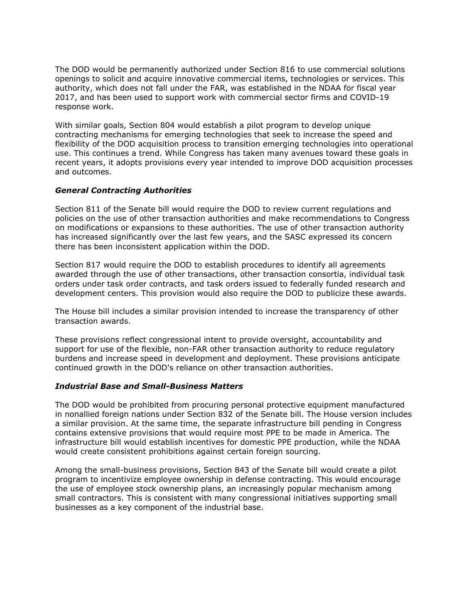The DOD would be permanently authorized under Section 816 to use commercial solutions openings to solicit and acquire innovative commercial items, technologies or services. This authority, which does not fall under the FAR, was established in the NDAA for fiscal year 2017, and has been used to support work with commercial sector firms and COVID-19 response work.

With similar goals, Section 804 would establish a pilot program to develop unique contracting mechanisms for emerging technologies that seek to increase the speed and flexibility of the DOD acquisition process to transition emerging technologies into operational use. This continues a trend. While Congress has taken many avenues toward these goals in recent years, it adopts provisions every year intended to improve DOD acquisition processes and outcomes.

## *General Contracting Authorities*

Section 811 of the Senate bill would require the DOD to review current regulations and policies on the use of other transaction authorities and make recommendations to Congress on modifications or expansions to these authorities. The use of other transaction authority has increased significantly over the last few years, and the SASC expressed its concern there has been inconsistent application within the DOD.

Section 817 would require the DOD to establish procedures to identify all agreements awarded through the use of other transactions, other transaction consortia, individual task orders under task order contracts, and task orders issued to federally funded research and development centers. This provision would also require the DOD to publicize these awards.

The House bill includes a similar provision intended to increase the transparency of other transaction awards.

These provisions reflect congressional intent to provide oversight, accountability and support for use of the flexible, non-FAR other transaction authority to reduce regulatory burdens and increase speed in development and deployment. These provisions anticipate continued growth in the DOD's reliance on other transaction authorities.

## *Industrial Base and Small-Business Matters*

The DOD would be prohibited from procuring personal protective equipment manufactured in nonallied foreign nations under Section 832 of the Senate bill. The House version includes a similar provision. At the same time, the separate infrastructure bill pending in Congress contains extensive provisions that would require most PPE to be made in America. The infrastructure bill would establish incentives for domestic PPE production, while the NDAA would create consistent prohibitions against certain foreign sourcing.

Among the small-business provisions, Section 843 of the Senate bill would create a pilot program to incentivize employee ownership in defense contracting. This would encourage the use of employee stock ownership plans, an increasingly popular mechanism among small contractors. This is consistent with many congressional initiatives supporting small businesses as a key component of the industrial base.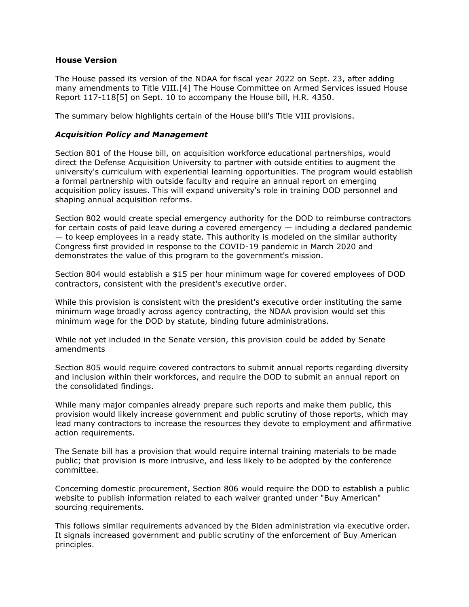#### **House Version**

The House passed its version of the NDAA for fiscal year 2022 on Sept. 23, after adding many amendments to Title VIII.[4] The House Committee on Armed Services issued House Report 117-118[5] on Sept. 10 to accompany the House bill, H.R. 4350.

The summary below highlights certain of the House bill's Title VIII provisions.

#### *Acquisition Policy and Management*

Section 801 of the House bill, on acquisition workforce educational partnerships, would direct the [Defense Acquisition University](https://www.law360.com/agencies/defense-acquisition-university) to partner with outside entities to augment the university's curriculum with experiential learning opportunities. The program would establish a formal partnership with outside faculty and require an annual report on emerging acquisition policy issues. This will expand university's role in training DOD personnel and shaping annual acquisition reforms.

Section 802 would create special emergency authority for the DOD to reimburse contractors for certain costs of paid leave during a covered emergency — including a declared pandemic  $-$  to keep employees in a ready state. This authority is modeled on the similar authority Congress first provided in response to the COVID-19 pandemic in March 2020 and demonstrates the value of this program to the government's mission.

Section 804 would establish a \$15 per hour minimum wage for covered employees of DOD contractors, consistent with the president's executive order.

While this provision is consistent with the president's executive order instituting the same minimum wage broadly across agency contracting, the NDAA provision would set this minimum wage for the DOD by statute, binding future administrations.

While not yet included in the Senate version, this provision could be added by Senate amendments

Section 805 would require covered contractors to submit annual reports regarding diversity and inclusion within their workforces, and require the DOD to submit an annual report on the consolidated findings.

While many major companies already prepare such reports and make them public, this provision would likely increase government and public scrutiny of those reports, which may lead many contractors to increase the resources they devote to employment and affirmative action requirements.

The Senate bill has a provision that would require internal training materials to be made public; that provision is more intrusive, and less likely to be adopted by the conference committee.

Concerning domestic procurement, Section 806 would require the DOD to establish a public website to publish information related to each waiver granted under "Buy American" sourcing requirements.

This follows similar requirements advanced by the Biden administration via executive order. It signals increased government and public scrutiny of the enforcement of Buy American principles.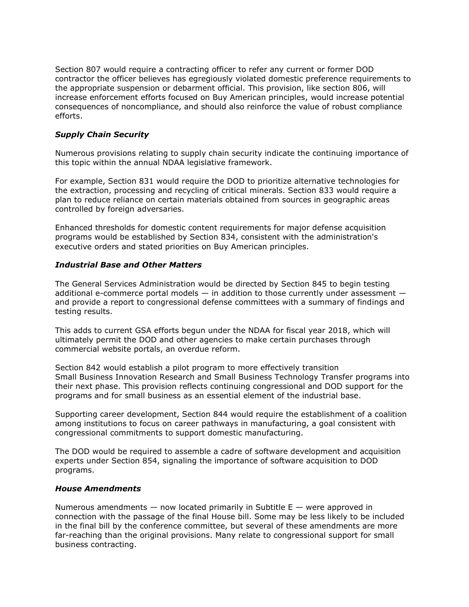Section 807 would require a contracting officer to refer any current or former DOD contractor the officer believes has egregiously violated domestic preference requirements to the appropriate suspension or debarment official. This provision, like section 806, will increase enforcement efforts focused on Buy American principles, would increase potential consequences of noncompliance, and should also reinforce the value of robust compliance efforts.

## *Supply Chain Security*

Numerous provisions relating to supply chain security indicate the continuing importance of this topic within the annual NDAA legislative framework.

For example, Section 831 would require the DOD to prioritize alternative technologies for the extraction, processing and recycling of critical minerals. Section 833 would require a plan to reduce reliance on certain materials obtained from sources in geographic areas controlled by foreign adversaries.

Enhanced thresholds for domestic content requirements for major defense acquisition programs would be established by Section 834, consistent with the administration's executive orders and stated priorities on Buy American principles.

## *Industrial Base and Other Matters*

The [General Services Administration](https://www.law360.com/agencies/u-s-general-services-administration) would be directed by Section 845 to begin testing additional e-commerce portal models  $-$  in addition to those currently under assessment  $$ and provide a report to congressional defense committees with a summary of findings and testing results.

This adds to current GSA efforts begun under the NDAA for fiscal year 2018, which will ultimately permit the DOD and other agencies to make certain purchases through commercial website portals, an overdue reform.

Section 842 would establish a pilot program to more effectively transition Small Business Innovation Research and Small Business Technology Transfer programs into their next phase. This provision reflects continuing congressional and DOD support for the programs and for small business as an essential element of the industrial base.

Supporting career development, Section 844 would require the establishment of a coalition among institutions to focus on career pathways in manufacturing, a goal consistent with congressional commitments to support domestic manufacturing.

The DOD would be required to assemble a cadre of software development and acquisition experts under Section 854, signaling the importance of software acquisition to DOD programs.

#### *House Amendments*

Numerous amendments  $-$  now located primarily in Subtitle  $E -$  were approved in connection with the passage of the final House bill. Some may be less likely to be included in the final bill by the conference committee, but several of these amendments are more far-reaching than the original provisions. Many relate to congressional support for small business contracting.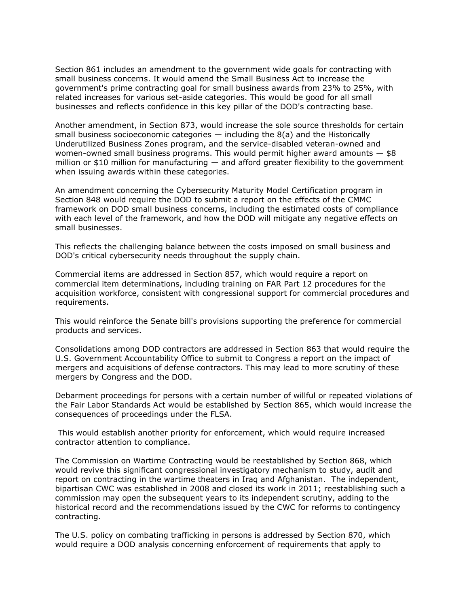Section 861 includes an amendment to the government wide goals for contracting with small business concerns. It would amend the Small Business Act to increase the government's prime contracting goal for small business awards from 23% to 25%, with related increases for various set-aside categories. This would be good for all small businesses and reflects confidence in this key pillar of the DOD's contracting base.

Another amendment, in Section 873, would increase the sole source thresholds for certain small business socioeconomic categories  $-$  including the  $8(a)$  and the Historically Underutilized Business Zones program, and the service-disabled veteran-owned and women-owned small business programs. This would permit higher award amounts  $-$  \$8 million or  $$10$  million for manufacturing  $-$  and afford greater flexibility to the government when issuing awards within these categories.

An amendment concerning the Cybersecurity Maturity Model Certification program in Section 848 would require the DOD to submit a report on the effects of the CMMC framework on DOD small business concerns, including the estimated costs of compliance with each level of the framework, and how the DOD will mitigate any negative effects on small businesses.

This reflects the challenging balance between the costs imposed on small business and DOD's critical cybersecurity needs throughout the supply chain.

Commercial items are addressed in Section 857, which would require a report on commercial item determinations, including training on FAR Part 12 procedures for the acquisition workforce, consistent with congressional support for commercial procedures and requirements.

This would reinforce the Senate bill's provisions supporting the preference for commercial products and services.

Consolidations among DOD contractors are addressed in Section 863 that would require the U.S. [Government Accountability Office](https://www.law360.com/agencies/government-accountability-office) to submit to Congress a report on the impact of mergers and acquisitions of defense contractors. This may lead to more scrutiny of these mergers by Congress and the DOD.

Debarment proceedings for persons with a certain number of willful or repeated violations of the Fair Labor Standards Act would be established by Section 865, which would increase the consequences of proceedings under the FLSA.

This would establish another priority for enforcement, which would require increased contractor attention to compliance.

The Commission on Wartime Contracting would be reestablished by Section 868, which would revive this significant congressional investigatory mechanism to study, audit and report on contracting in the wartime theaters in Iraq and Afghanistan. The independent, bipartisan CWC was established in 2008 and closed its work in 2011; reestablishing such a commission may open the subsequent years to its independent scrutiny, adding to the historical record and the recommendations issued by the CWC for reforms to contingency contracting.

The U.S. policy on combating trafficking in persons is addressed by Section 870, which would require a DOD analysis concerning enforcement of requirements that apply to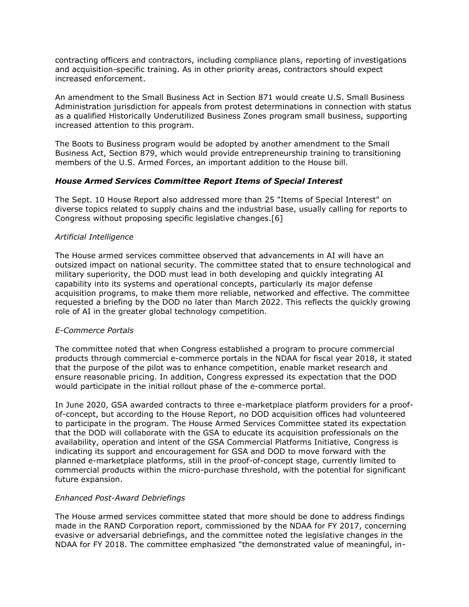contracting officers and contractors, including compliance plans, reporting of investigations and acquisition-specific training. As in other priority areas, contractors should expect increased enforcement.

An amendment to the Small Business Act in Section 871 would create [U.S. Small Business](https://www.law360.com/agencies/small-business-administration)  [Administration](https://www.law360.com/agencies/small-business-administration) jurisdiction for appeals from protest determinations in connection with status as a qualified Historically Underutilized Business Zones program small business, supporting increased attention to this program.

The Boots to Business program would be adopted by another amendment to the Small Business Act, Section 879, which would provide entrepreneurship training to transitioning members of the U.S. Armed Forces, an important addition to the House bill.

## *House Armed Services Committee Report Items of Special Interest*

The Sept. 10 House Report also addressed more than 25 "Items of Special Interest" on diverse topics related to supply chains and the industrial base, usually calling for reports to Congress without proposing specific legislative changes.[6]

## *Artificial Intelligence*

The House armed services committee observed that advancements in AI will have an outsized impact on national security. The committee stated that to ensure technological and military superiority, the DOD must lead in both developing and quickly integrating AI capability into its systems and operational concepts, particularly its major defense acquisition programs, to make them more reliable, networked and effective. The committee requested a briefing by the DOD no later than March 2022. This reflects the quickly growing role of AI in the greater global technology competition.

## *E-Commerce Portals*

The committee noted that when Congress established a program to procure commercial products through commercial e-commerce portals in the NDAA for fiscal year 2018, it stated that the purpose of the pilot was to enhance competition, enable market research and ensure reasonable pricing. In addition, Congress expressed its expectation that the DOD would participate in the initial rollout phase of the e-commerce portal.

In June 2020, GSA awarded contracts to three e-marketplace platform providers for a proofof-concept, but according to the House Report, no DOD acquisition offices had volunteered to participate in the program. The House Armed Services Committee stated its expectation that the DOD will collaborate with the GSA to educate its acquisition professionals on the availability, operation and intent of the GSA Commercial Platforms Initiative, Congress is indicating its support and encouragement for GSA and DOD to move forward with the planned e-marketplace platforms, still in the proof-of-concept stage, currently limited to commercial products within the micro-purchase threshold, with the potential for significant future expansion.

## *Enhanced Post-Award Debriefings*

The House armed services committee stated that more should be done to address findings made in the RAND Corporation report, commissioned by the NDAA for FY 2017, concerning evasive or adversarial debriefings, and the committee noted the legislative changes in the NDAA for FY 2018. The committee emphasized "the demonstrated value of meaningful, in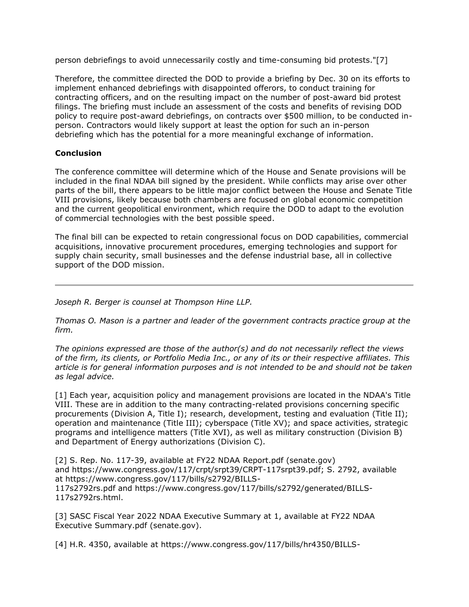person debriefings to avoid unnecessarily costly and time-consuming bid protests."[7]

Therefore, the committee directed the DOD to provide a briefing by Dec. 30 on its efforts to implement enhanced debriefings with disappointed offerors, to conduct training for contracting officers, and on the resulting impact on the number of post-award bid protest filings. The briefing must include an assessment of the costs and benefits of revising DOD policy to require post-award debriefings, on contracts over \$500 million, to be conducted inperson. Contractors would likely support at least the option for such an in-person debriefing which has the potential for a more meaningful exchange of information.

## **Conclusion**

The conference committee will determine which of the House and Senate provisions will be included in the final NDAA bill signed by the president. While conflicts may arise over other parts of the bill, there appears to be little major conflict between the House and Senate Title VIII provisions, likely because both chambers are focused on global economic competition and the current geopolitical environment, which require the DOD to adapt to the evolution of commercial technologies with the best possible speed.

The final bill can be expected to retain congressional focus on DOD capabilities, commercial acquisitions, innovative procurement procedures, emerging technologies and support for supply chain security, small businesses and the defense industrial base, all in collective support of the DOD mission.

*[Joseph R. Berger](https://www.thompsonhine.com/professionals/berger-joe) is counsel at [Thompson Hine LLP.](https://www.law360.com/firms/thompson-hine)*

*[Thomas O. Mason](https://www.thompsonhine.com/professionals/mason-tom) is a partner and leader of the government contracts practice group at the firm.*

*The opinions expressed are those of the author(s) and do not necessarily reflect the views of the firm, its clients, or Portfolio Media Inc., or any of its or their respective affiliates. This article is for general information purposes and is not intended to be and should not be taken as legal advice.*

[1] Each year, acquisition policy and management provisions are located in the NDAA's Title VIII. These are in addition to the many contracting-related provisions concerning specific procurements (Division A, Title I); research, development, testing and evaluation (Title II); operation and maintenance (Title III); cyberspace (Title XV); and space activities, strategic programs and intelligence matters (Title XVI), as well as military construction (Division B) and [Department of Energy](https://www.law360.com/agencies/u-s-department-of-energy) authorizations (Division C).

[2] S. Rep. No. 117-39, available at FY22 NDAA Report.pdf (senate.gov) and [https://www.congress.gov/117/crpt/srpt39/CRPT-117srpt39.pdf;](https://www.congress.gov/117/crpt/srpt39/CRPT-117srpt39.pdf) S. 2792, available at [https://www.congress.gov/117/bills/s2792/BILLS-](https://www.congress.gov/117/bills/s2792/BILLS-117s2792rs.pdf)[117s2792rs.pdf](https://www.congress.gov/117/bills/s2792/BILLS-117s2792rs.pdf) and [https://www.congress.gov/117/bills/s2792/generated/BILLS-](https://www.congress.gov/117/bills/s2792/generated/BILLS-117s2792rs.html)[117s2792rs.html.](https://www.congress.gov/117/bills/s2792/generated/BILLS-117s2792rs.html)

[3] SASC Fiscal Year 2022 NDAA Executive Summary at 1, available at FY22 NDAA Executive Summary.pdf (senate.gov).

[4] H.R. 4350, available at [https://www.congress.gov/117/bills/hr4350/BILLS-](https://www.congress.gov/117/bills/hr4350/BILLS-117hr4350eh.pdf)